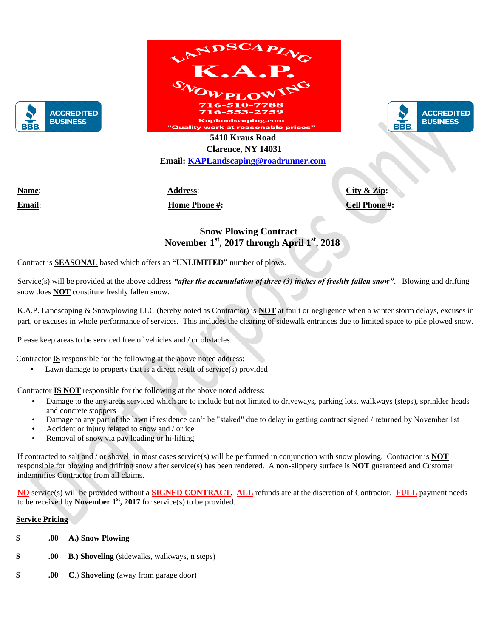



.<br>Kaplandscaping.com i<mark>ality work at reasonable pri</mark>



 **5410 Kraus Road Clarence, NY 14031 Email: [KAPLandscaping@roadrunner.com](mailto:KAPLandscaping@roadrunner.com)**

**Name:** 2012 Stellar Stellars: 141 Stellars: 141 September Street, Street, Street, Street, Street, Street, Street, Street, Street, Street, Street, Street, Street, Street, Street, Street, Street, Street, Street, Street, Str

**Email**: Johnstell@gmail.com **Home Phone #:** 716.741.8974 **Cell Phone #:** 716.262.5963

## **Snow Plowing Contract November 1st, 2017 through April 1st, 2018**

Contract is **SEASONAL** based which offers an **"UNLIMITED"** number of plows.

Service(s) will be provided at the above address *"after the accumulation of three (3) inches of freshly fallen snow"*.Blowing and drifting snow does **NOT** constitute freshly fallen snow.

K.A.P. Landscaping & Snowplowing LLC (hereby noted as Contractor) is **NOT** at fault or negligence when a winter storm delays, excuses in part, or excuses in whole performance of services. This includes the clearing of sidewalk entrances due to limited space to pile plowed snow.

Please keep areas to be serviced free of vehicles and / or obstacles.

Contractor **IS** responsible for the following at the above noted address:

Lawn damage to property that is a direct result of service(s) provided

Contractor **IS NOT** responsible for the following at the above noted address:

- Damage to the any areas serviced which are to include but not limited to driveways, parking lots, walkways (steps), sprinkler heads and concrete stoppers
- Damage to any part of the lawn if residence can't be "staked" due to delay in getting contract signed / returned by November 1st
- Accident or injury related to snow and / or ice
- Removal of snow via pay loading or hi-lifting

If contracted to salt and / or shovel, in most cases service(s) will be performed in conjunction with snow plowing. Contractor is **NOT** responsible for blowing and drifting snow after service(s) has been rendered. A non-slippery surface is **NOT** guaranteed and Customer indemnifies Contractor from all claims.

**NO** service(s) will be provided without a **SIGNED CONTRACT. ALL** refunds are at the discretion of Contractor. **FULL** payment needs to be received by **November 1<sup>st</sup>**, **2017** for service(s) to be provided.

## **Service Pricing**

- **\$ .00 A.) Snow Plowing**
- **.00 B.) Shoveling** (sidewalks, walkways, n steps)
- **\$ .00 C**.) **Shoveling** (away from garage door)